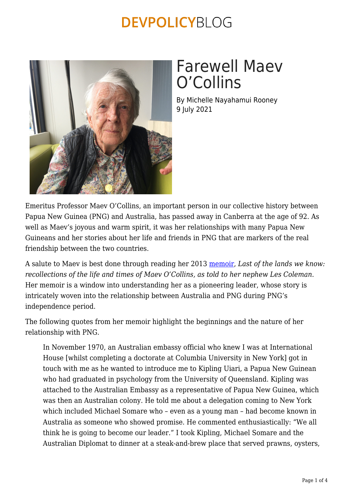

# Farewell Maev O'Collins

By Michelle Nayahamui Rooney 9 July 2021

Emeritus Professor Maev O'Collins, an important person in our collective history between Papua New Guinea (PNG) and Australia, has passed away in Canberra at the age of 92. As well as Maev's joyous and warm spirit, it was her relationships with many Papua New Guineans and her stories about her life and friends in PNG that are markers of the real friendship between the two countries.

A salute to Maev is best done through reading her 2013 [memoir,](https://catalogue.nla.gov.au/Record/6418385) *Last of the lands we know: recollections of the life and times of Maev O'Collins, as told to her nephew Les Coleman*. Her memoir is a window into understanding her as a pioneering leader, whose story is intricately woven into the relationship between Australia and PNG during PNG's independence period.

The following quotes from her memoir highlight the beginnings and the nature of her relationship with PNG.

In November 1970, an Australian embassy official who knew I was at International House [whilst completing a doctorate at Columbia University in New York] got in touch with me as he wanted to introduce me to Kipling Uiari, a Papua New Guinean who had graduated in psychology from the University of Queensland. Kipling was attached to the Australian Embassy as a representative of Papua New Guinea, which was then an Australian colony. He told me about a delegation coming to New York which included Michael Somare who – even as a young man – had become known in Australia as someone who showed promise. He commented enthusiastically: "We all think he is going to become our leader." I took Kipling, Michael Somare and the Australian Diplomat to dinner at a steak-and-brew place that served prawns, oysters,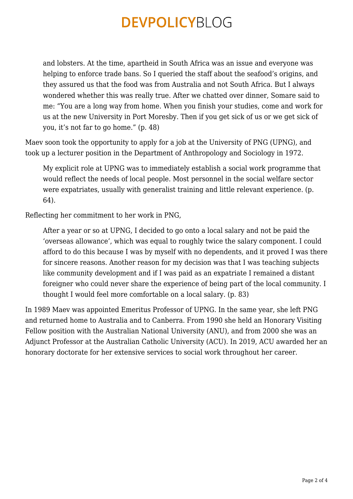and lobsters. At the time, apartheid in South Africa was an issue and everyone was helping to enforce trade bans. So I queried the staff about the seafood's origins, and they assured us that the food was from Australia and not South Africa. But I always wondered whether this was really true. After we chatted over dinner, Somare said to me: "You are a long way from home. When you finish your studies, come and work for us at the new University in Port Moresby. Then if you get sick of us or we get sick of you, it's not far to go home." (p. 48)

Maev soon took the opportunity to apply for a job at the University of PNG (UPNG), and took up a lecturer position in the Department of Anthropology and Sociology in 1972.

My explicit role at UPNG was to immediately establish a social work programme that would reflect the needs of local people. Most personnel in the social welfare sector were expatriates, usually with generalist training and little relevant experience. (p. 64).

Reflecting her commitment to her work in PNG,

After a year or so at UPNG, I decided to go onto a local salary and not be paid the 'overseas allowance', which was equal to roughly twice the salary component. I could afford to do this because I was by myself with no dependents, and it proved I was there for sincere reasons. Another reason for my decision was that I was teaching subjects like community development and if I was paid as an expatriate I remained a distant foreigner who could never share the experience of being part of the local community. I thought I would feel more comfortable on a local salary. (p. 83)

In 1989 Maev was appointed Emeritus Professor of UPNG. In the same year, she left PNG and returned home to Australia and to Canberra. From 1990 she held an Honorary Visiting Fellow position with the Australian National University (ANU), and from 2000 she was an Adjunct Professor at the Australian Catholic University (ACU). In 2019, ACU awarded her an honorary doctorate for her extensive services to social work throughout her career.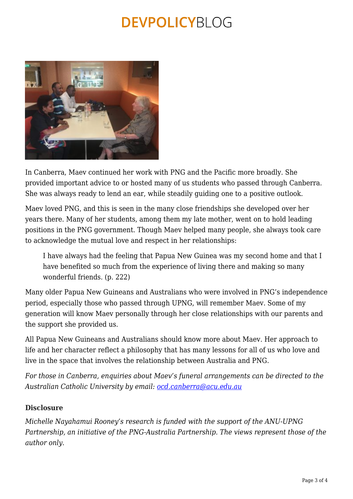

In Canberra, Maev continued her work with PNG and the Pacific more broadly. She provided important advice to or hosted many of us students who passed through Canberra. She was always ready to lend an ear, while steadily guiding one to a positive outlook.

Maev loved PNG, and this is seen in the many close friendships she developed over her years there. Many of her students, among them my late mother, went on to hold leading positions in the PNG government. Though Maev helped many people, she always took care to acknowledge the mutual love and respect in her relationships:

I have always had the feeling that Papua New Guinea was my second home and that I have benefited so much from the experience of living there and making so many wonderful friends. (p. 222)

Many older Papua New Guineans and Australians who were involved in PNG's independence period, especially those who passed through UPNG, will remember Maev. Some of my generation will know Maev personally through her close relationships with our parents and the support she provided us.

All Papua New Guineans and Australians should know more about Maev. Her approach to life and her character reflect a philosophy that has many lessons for all of us who love and live in the space that involves the relationship between Australia and PNG.

*For those in Canberra, enquiries about Maev's funeral arrangements can be directed to the Australian Catholic University by email: [ocd.canberra@acu.edu.au](mailto:ocd.canberra@acu.edu.au)*

#### **Disclosure**

*Michelle Nayahamui Rooney's research is funded with the support of the ANU-UPNG Partnership, an initiative of the PNG-Australia Partnership. The views represent those of the author only.*